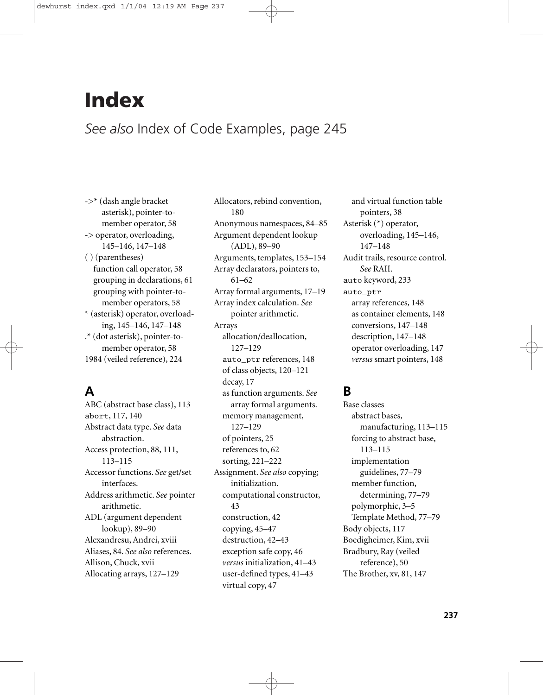# **Index**

# *See also* Index of Code Examples, page 245

->\* (dash angle bracket asterisk), pointer-tomember operator, 58 -> operator, overloading, 145–146, 147–148 ( ) (parentheses) function call operator, 58 grouping in declarations, 61 grouping with pointer-tomember operators, 58 \* (asterisk) operator, overloading, 145–146, 147–148 .\* (dot asterisk), pointer-tomember operator, 58 1984 (veiled reference), 224

# **A**

ABC (abstract base class), 113 abort, 117, 140 Abstract data type. *See* data abstraction. Access protection, 88, 111, 113–115 Accessor functions. *See* get/set interfaces. Address arithmetic. *See* pointer arithmetic. ADL (argument dependent lookup), 89–90 Alexandresu, Andrei, xviii Aliases, 84. *See also* references. Allison, Chuck, xvii Allocating arrays, 127–129

Allocators, rebind convention, 180 Anonymous namespaces, 84–85 Argument dependent lookup (ADL), 89–90 Arguments, templates, 153–154 Array declarators, pointers to, 61–62 Array formal arguments, 17–19 Array index calculation. *See* pointer arithmetic. Arrays allocation/deallocation, 127–129 auto\_ptr references, 148 of class objects, 120–121 decay, 17 as function arguments. *See* array formal arguments. memory management, 127–129 of pointers, 25 references to, 62 sorting, 221–222 Assignment. *See also* copying; initialization. computational constructor, 43 construction, 42 copying, 45–47 destruction, 42–43 exception safe copy, 46 *versus* initialization, 41–43 user-defined types, 41–43 virtual copy, 47

and virtual function table pointers, 38 Asterisk (\*) operator, overloading, 145–146, 147–148 Audit trails, resource control. *See* RAII. auto keyword, 233 auto\_ptr array references, 148 as container elements, 148 conversions, 147–148 description, 147–148 operator overloading, 147 *versus* smart pointers, 148

### **B**

Base classes abstract bases, manufacturing, 113–115 forcing to abstract base, 113–115 implementation guidelines, 77–79 member function, determining, 77–79 polymorphic, 3–5 Template Method, 77–79 Body objects, 117 Boedigheimer, Kim, xvii Bradbury, Ray (veiled reference), 50 The Brother, xv, 81, 147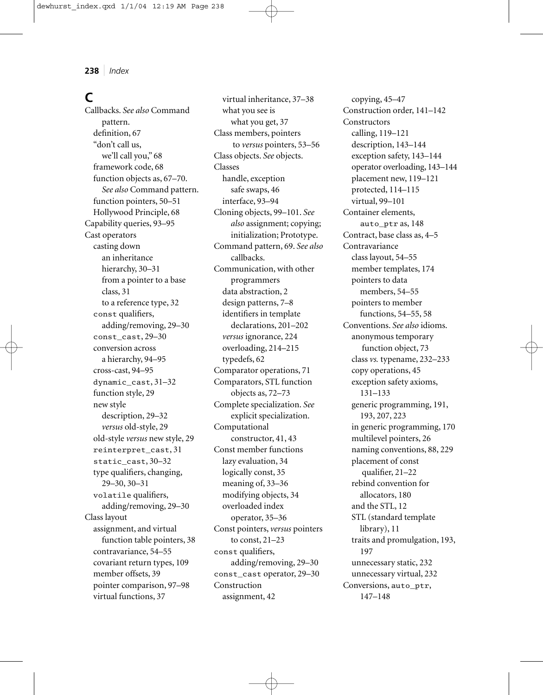### **C**

Callbacks. *See also* Command pattern. definition, 67 "don't call us, we'll call you," 68 framework code, 68 function objects as, 67–70. *See also* Command pattern. function pointers, 50–51 Hollywood Principle, 68 Capability queries, 93–95 Cast operators casting down an inheritance hierarchy, 30-31 from a pointer to a base class, 31 to a reference type, 32 const qualifiers, adding/removing, 29–30 const\_cast, 29–30 conversion across a hierarchy, 94–95 cross-cast, 94–95 dynamic\_cast, 31–32 function style, 29 new style description, 29–32 *versus* old-style, 29 old-style *versus* new style, 29 reinterpret\_cast, 31 static\_cast, 30–32 type qualifiers, changing, 29–30, 30–31 volatile qualifiers, adding/removing, 29–30 Class layout assignment, and virtual function table pointers, 38 contravariance, 54–55 covariant return types, 109 member offsets, 39 pointer comparison, 97–98 virtual functions, 37

virtual inheritance, 37–38 what you see is what you get, 37 Class members, pointers to *versus* pointers, 53–56 Class objects. *See* objects. Classes handle, exception safe swaps, 46 interface, 93–94 Cloning objects, 99–101. *See also* assignment; copying; initialization; Prototype. Command pattern, 69. *See also* callbacks. Communication, with other programmers data abstraction, 2 design patterns, 7–8 identifiers in template declarations, 201–202 *versus* ignorance, 224 overloading, 214–215 typedefs, 62 Comparator operations, 71 Comparators, STL function objects as, 72–73 Complete specialization. *See* explicit specialization. Computational constructor, 41, 43 Const member functions lazy evaluation, 34 logically const, 35 meaning of, 33–36 modifying objects, 34 overloaded index operator, 35–36 Const pointers, *versus* pointers to const, 21–23 const qualifiers, adding/removing, 29–30 const\_cast operator, 29–30 Construction assignment, 42

copying, 45–47 Construction order, 141–142 Constructors calling, 119–121 description, 143–144 exception safety, 143–144 operator overloading, 143–144 placement new, 119–121 protected, 114–115 virtual, 99–101 Container elements, auto\_ptr as, 148 Contract, base class as, 4–5 Contravariance class layout, 54–55 member templates, 174 pointers to data members, 54–55 pointers to member functions, 54–55, 58 Conventions. *See also* idioms. anonymous temporary function object, 73 class *vs.* typename, 232–233 copy operations, 45 exception safety axioms, 131–133 generic programming, 191, 193, 207, 223 in generic programming, 170 multilevel pointers, 26 naming conventions, 88, 229 placement of const qualifier, 21–22 rebind convention for allocators, 180 and the STL, 12 STL (standard template library), 11 traits and promulgation, 193, 197 unnecessary static, 232 unnecessary virtual, 232 Conversions, auto\_ptr, 147–148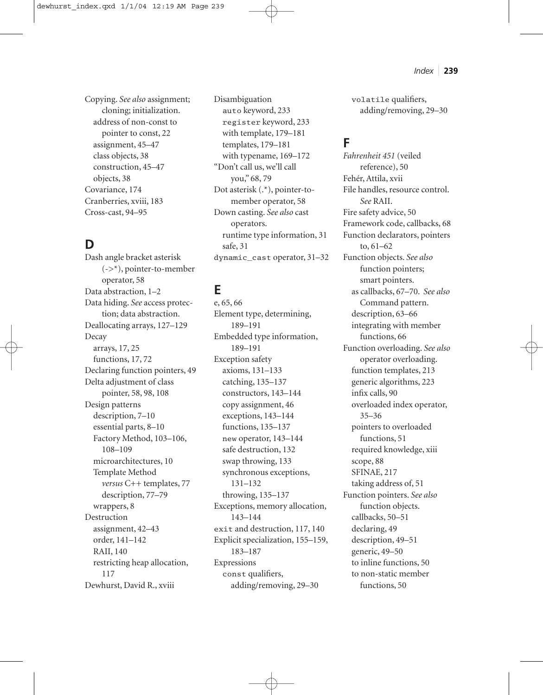Copying. *See also* assignment; cloning; initialization. address of non-const to pointer to const, 22 assignment, 45–47 class objects, 38 construction, 45–47 objects, 38 Covariance, 174 Cranberries, xviii, 183 Cross-cast, 94–95

### **D**

Dash angle bracket asterisk  $(-\rangle^*$ , pointer-to-member operator, 58 Data abstraction, 1–2 Data hiding. *See* access protection; data abstraction. Deallocating arrays, 127–129 Decay arrays, 17, 25 functions, 17, 72 Declaring function pointers, 49 Delta adjustment of class pointer, 58, 98, 108 Design patterns description, 7–10 essential parts, 8–10 Factory Method, 103–106, 108–109 microarchitectures, 10 Template Method *versus* C++ templates, 77 description, 77–79 wrappers, 8 Destruction assignment, 42–43 order, 141–142 RAII, 140 restricting heap allocation, 117 Dewhurst, David R., xviii

Disambiguation auto keyword, 233 register keyword, 233 with template, 179–181 templates, 179–181 with typename, 169–172 "Don't call us, we'll call you," 68, 79 Dot asterisk (.\*), pointer-tomember operator, 58 Down casting. *See also* cast operators. runtime type information, 31 safe, 31 dynamic\_cast operator, 31–32

### **E**

e, 65, 66 Element type, determining, 189–191 Embedded type information, 189–191 Exception safety axioms, 131–133 catching, 135–137 constructors, 143–144 copy assignment, 46 exceptions, 143–144 functions, 135–137 new operator, 143–144 safe destruction, 132 swap throwing, 133 synchronous exceptions, 131–132 throwing, 135–137 Exceptions, memory allocation, 143–144 exit and destruction, 117, 140 Explicit specialization, 155–159, 183–187 Expressions const qualifiers, adding/removing, 29–30

volatile qualifiers, adding/removing, 29–30

### **F**

*Fahrenheit 451* (veiled reference), 50 Fehér, Attila, xvii File handles, resource control. *See* RAII. Fire safety advice, 50 Framework code, callbacks, 68 Function declarators, pointers to, 61–62 Function objects. *See also* function pointers; smart pointers. as callbacks, 67–70. *See also* Command pattern. description, 63–66 integrating with member functions, 66 Function overloading. *See also* operator overloading. function templates, 213 generic algorithms, 223 infix calls, 90 overloaded index operator, 35–36 pointers to overloaded functions, 51 required knowledge, xiii scope, 88 SFINAE, 217 taking address of, 51 Function pointers. *See also* function objects. callbacks, 50–51 declaring, 49 description, 49–51 generic, 49–50 to inline functions, 50 to non-static member functions, 50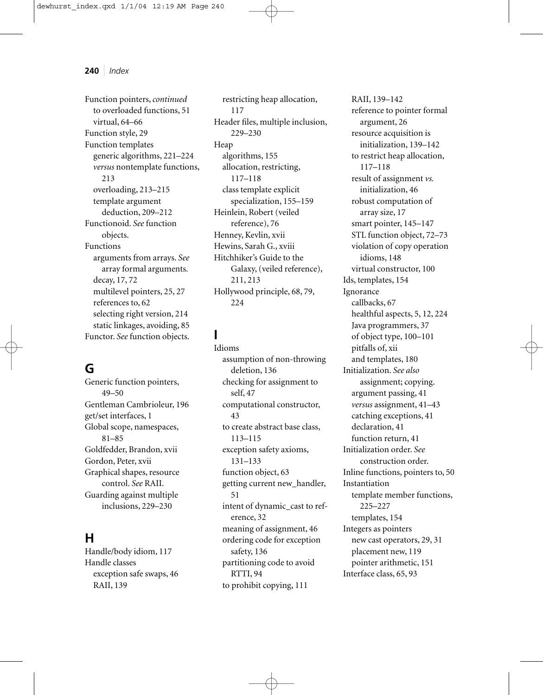Function pointers,*continued* to overloaded functions, 51 virtual, 64–66 Function style, 29 Function templates generic algorithms, 221–224 *versus* nontemplate functions, 213 overloading, 213–215 template argument deduction, 209–212 Functionoid. *See* function objects. Functions arguments from arrays. *See* array formal arguments. decay, 17, 72 multilevel pointers, 25, 27 references to, 62 selecting right version, 214 static linkages, avoiding, 85 Functor. *See* function objects.

### **G**

Generic function pointers, 49–50 Gentleman Cambrioleur, 196 get/set interfaces, 1 Global scope, namespaces, 81–85 Goldfedder, Brandon, xvii Gordon, Peter, xvii Graphical shapes, resource control. *See* RAII. Guarding against multiple inclusions, 229–230

### **H**

Handle/body idiom, 117 Handle classes exception safe swaps, 46 RAII, 139

restricting heap allocation, 117 Header files, multiple inclusion, 229–230 Heap algorithms, 155 allocation, restricting, 117–118 class template explicit specialization, 155–159 Heinlein, Robert (veiled reference), 76 Henney, Kevlin, xvii Hewins, Sarah G., xviii Hitchhiker's Guide to the Galaxy, (veiled reference), 211, 213 Hollywood principle, 68, 79, 224

# **I**

Idioms assumption of non-throwing deletion, 136 checking for assignment to self, 47 computational constructor, 43 to create abstract base class, 113–115 exception safety axioms, 131–133 function object, 63 getting current new\_handler, 51 intent of dynamic\_cast to reference, 32 meaning of assignment, 46 ordering code for exception safety, 136 partitioning code to avoid RTTI, 94 to prohibit copying, 111

RAII, 139–142 reference to pointer formal argument, 26 resource acquisition is initialization, 139–142 to restrict heap allocation, 117–118 result of assignment *vs.* initialization, 46 robust computation of array size, 17 smart pointer, 145–147 STL function object, 72–73 violation of copy operation idioms, 148 virtual constructor, 100 Ids, templates, 154 Ignorance callbacks, 67 healthful aspects, 5, 12, 224 Java programmers, 37 of object type, 100–101 pitfalls of, xii and templates, 180 Initialization. *See also* assignment; copying. argument passing, 41 *versus* assignment, 41–43 catching exceptions, 41 declaration, 41 function return, 41 Initialization order. *See* construction order. Inline functions, pointers to, 50 Instantiation template member functions, 225–227 templates, 154 Integers as pointers new cast operators, 29, 31 placement new, 119 pointer arithmetic, 151 Interface class, 65, 93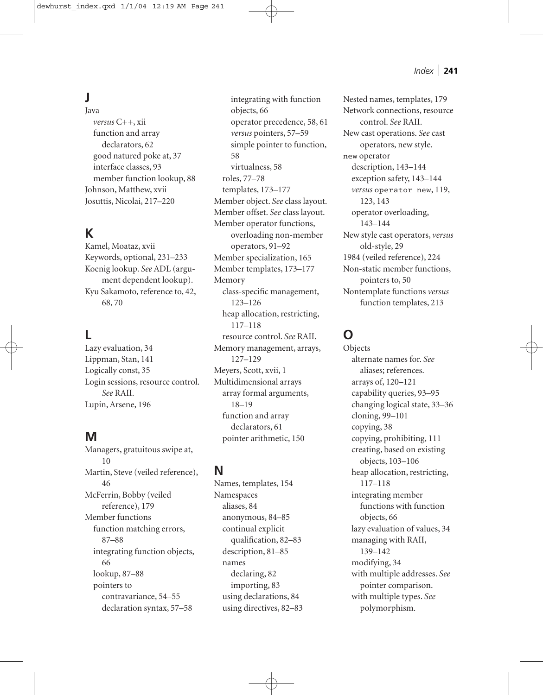# **J**

Java *versus* C++, xii function and array declarators, 62 good natured poke at, 37 interface classes, 93 member function lookup, 88 Johnson, Matthew, xvii Josuttis, Nicolai, 217–220

### **K**

Kamel, Moataz, xvii Keywords, optional, 231–233 Koenig lookup. *See* ADL (argument dependent lookup). Kyu Sakamoto, reference to, 42, 68, 70

### **L**

Lazy evaluation, 34 Lippman, Stan, 141 Logically const, 35 Login sessions, resource control. *See* RAII. Lupin, Arsene, 196

### **M**

Managers, gratuitous swipe at, 10 Martin, Steve (veiled reference), 46 McFerrin, Bobby (veiled reference), 179 Member functions function matching errors, 87–88 integrating function objects, 66 lookup, 87–88 pointers to contravariance, 54–55 declaration syntax, 57–58

integrating with function objects, 66 operator precedence, 58, 61 *versus* pointers, 57–59 simple pointer to function, 58 virtualness, 58 roles, 77–78 templates, 173–177 Member object. *See* class layout. Member offset. *See* class layout. Member operator functions, overloading non-member operators, 91–92 Member specialization, 165 Member templates, 173–177 Memory class-specific management, 123–126 heap allocation, restricting, 117–118 resource control. *See* RAII. Memory management, arrays, 127–129 Meyers, Scott, xvii, 1 Multidimensional arrays array formal arguments, 18–19 function and array declarators, 61

**N**

Names, templates, 154 Namespaces aliases, 84 anonymous, 84–85 continual explicit qualification, 82–83 description, 81–85 names declaring, 82 importing, 83 using declarations, 84 using directives, 82–83

pointer arithmetic, 150

Nested names, templates, 179 Network connections, resource control. *See* RAII. New cast operations. *See* cast operators, new style. new operator description, 143–144 exception safety, 143–144 *versus* operator new, 119, 123, 143 operator overloading, 143–144 New style cast operators, *versus* old-style, 29 1984 (veiled reference), 224 Non-static member functions, pointers to, 50 Nontemplate functions *versus* function templates, 213

### **O**

Objects alternate names for. *See* aliases; references. arrays of, 120–121 capability queries, 93–95 changing logical state, 33–36 cloning, 99–101 copying, 38 copying, prohibiting, 111 creating, based on existing objects, 103–106 heap allocation, restricting, 117–118 integrating member functions with function objects, 66 lazy evaluation of values, 34 managing with RAII, 139–142 modifying, 34 with multiple addresses. *See* pointer comparison. with multiple types. *See* polymorphism.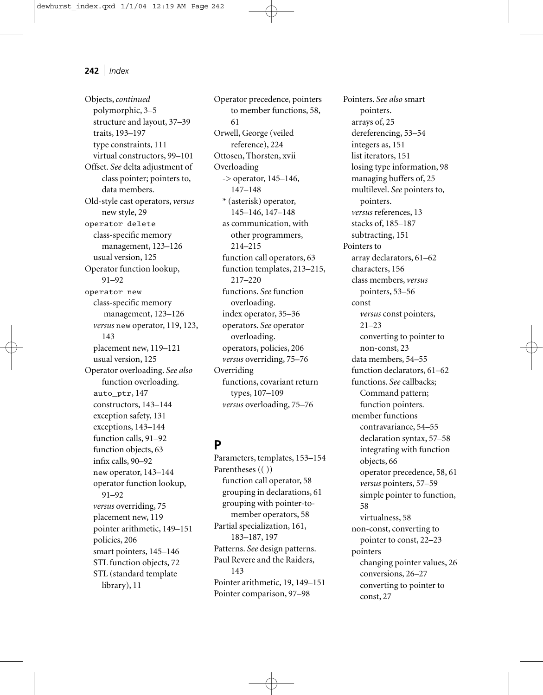Objects,*continued* polymorphic, 3–5 structure and layout, 37–39 traits, 193–197 type constraints, 111 virtual constructors, 99–101 Offset. *See* delta adjustment of class pointer; pointers to, data members. Old-style cast operators, *versus* new style, 29 operator delete class-specific memory management, 123–126 usual version, 125 Operator function lookup, 91–92 operator new class-specific memory management, 123–126 *versus* new operator, 119, 123, 143 placement new, 119–121 usual version, 125 Operator overloading. *See also* function overloading. auto\_ptr, 147 constructors, 143–144 exception safety, 131 exceptions, 143–144 function calls, 91–92 function objects, 63 infix calls, 90–92 new operator, 143–144 operator function lookup, 91–92 *versus* overriding, 75 placement new, 119 pointer arithmetic, 149–151 policies, 206 smart pointers, 145–146 STL function objects, 72 STL (standard template library), 11

Operator precedence, pointers to member functions, 58, 61 Orwell, George (veiled reference), 224 Ottosen, Thorsten, xvii Overloading -> operator, 145–146, 147–148 \* (asterisk) operator, 145–146, 147–148 as communication, with other programmers, 214–215 function call operators, 63 function templates, 213–215, 217–220 functions. *See* function overloading. index operator, 35–36 operators. *See* operator overloading. operators, policies, 206 *versus* overriding, 75–76 Overriding functions, covariant return types, 107–109 *versus* overloading, 75–76

### **P**

Parameters, templates, 153–154 Parentheses (( )) function call operator, 58 grouping in declarations, 61 grouping with pointer-tomember operators, 58 Partial specialization, 161, 183–187, 197 Patterns. *See* design patterns. Paul Revere and the Raiders, 143 Pointer arithmetic, 19, 149–151 Pointer comparison, 97–98

Pointers. *See also* smart pointers. arrays of, 25 dereferencing, 53–54 integers as, 151 list iterators, 151 losing type information, 98 managing buffers of, 25 multilevel. *See* pointers to, pointers. *versus* references, 13 stacks of, 185–187 subtracting, 151 Pointers to array declarators, 61–62 characters, 156 class members, *versus* pointers, 53–56 const *versus* const pointers, 21–23 converting to pointer to non-const, 23 data members, 54–55 function declarators, 61–62 functions. *See* callbacks; Command pattern; function pointers. member functions contravariance, 54–55 declaration syntax, 57–58 integrating with function objects, 66 operator precedence, 58, 61 *versus* pointers, 57–59 simple pointer to function, 58 virtualness, 58 non-const, converting to pointer to const, 22–23 pointers changing pointer values, 26 conversions, 26–27 converting to pointer to const, 27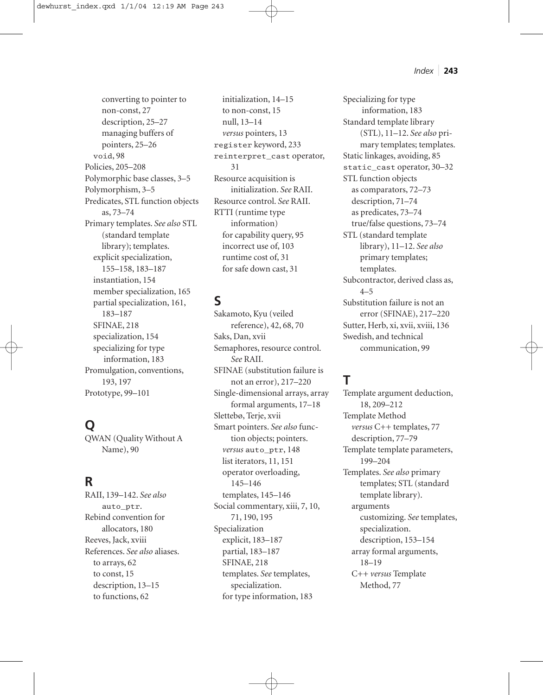converting to pointer to non-const, 27 description, 25–27 managing buffers of pointers, 25–26 void, 98 Policies, 205–208 Polymorphic base classes, 3–5 Polymorphism, 3–5 Predicates, STL function objects as, 73–74 Primary templates. *See also* STL (standard template library); templates. explicit specialization, 155–158, 183–187 instantiation, 154 member specialization, 165 partial specialization, 161, 183–187 SFINAE, 218 specialization, 154 specializing for type information, 183 Promulgation, conventions, 193, 197 Prototype, 99–101

# **Q**

QWAN (Quality Without A Name), 90

### **R**

RAII, 139–142. *See also* auto\_ptr. Rebind convention for allocators, 180 Reeves, Jack, xviii References. *See also* aliases. to arrays, 62 to const, 15 description, 13–15 to functions, 62

initialization, 14–15 to non-const, 15 null, 13–14 *versus* pointers, 13 register keyword, 233 reinterpret\_cast operator, 31 Resource acquisition is initialization. *See* RAII. Resource control. *See* RAII. RTTI (runtime type information) for capability query, 95 incorrect use of, 103 runtime cost of, 31 for safe down cast, 31

# **S**

Sakamoto, Kyu (veiled reference), 42, 68, 70 Saks, Dan, xvii Semaphores, resource control. *See* RAII. SFINAE (substitution failure is not an error), 217–220 Single-dimensional arrays, array formal arguments, 17–18 Slettebø, Terje, xvii Smart pointers. *See also* function objects; pointers. *versus* auto\_ptr, 148 list iterators, 11, 151 operator overloading, 145–146 templates, 145–146 Social commentary, xiii, 7, 10, 71, 190, 195 Specialization explicit, 183–187 partial, 183–187 SFINAE, 218 templates. *See* templates, specialization. for type information, 183

Specializing for type information, 183 Standard template library (STL), 11–12. *See also* primary templates; templates. Static linkages, avoiding, 85 static\_cast operator, 30–32 STL function objects as comparators, 72–73 description, 71–74 as predicates, 73–74 true/false questions, 73–74 STL (standard template library), 11–12. *See also* primary templates; templates. Subcontractor, derived class as,  $4 - 5$ Substitution failure is not an error (SFINAE), 217–220 Sutter, Herb, xi, xvii, xviii, 136 Swedish, and technical communication, 99

# **T**

Template argument deduction, 18, 209–212 Template Method *versus* C++ templates, 77 description, 77–79 Template template parameters, 199–204 Templates. *See also* primary templates; STL (standard template library). arguments customizing. *See* templates, specialization. description, 153–154 array formal arguments, 18–19 C++ *versus* Template Method, 77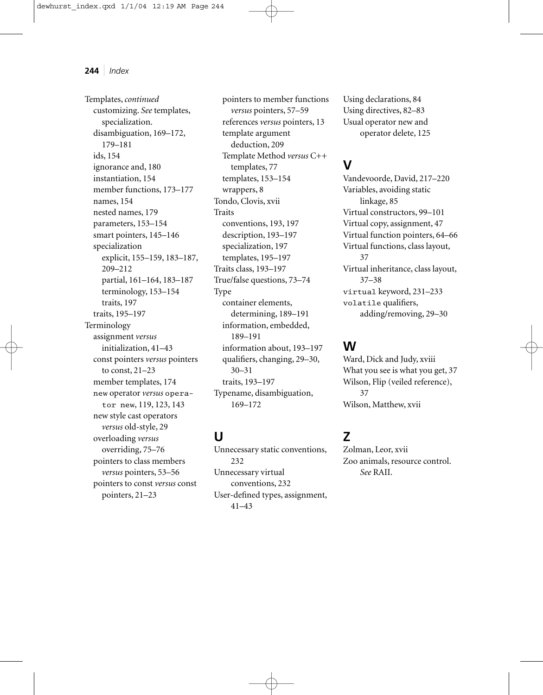Templates,*continued* customizing. *See* templates, specialization. disambiguation, 169–172, 179–181 ids, 154 ignorance and, 180 instantiation, 154 member functions, 173–177 names, 154 nested names, 179 parameters, 153–154 smart pointers, 145–146 specialization explicit, 155–159, 183–187, 209–212 partial, 161–164, 183–187 terminology, 153–154 traits, 197 traits, 195–197 Terminology assignment *versus* initialization, 41–43 const pointers *versus* pointers to const, 21–23 member templates, 174 new operator *versus* operator new, 119, 123, 143 new style cast operators *versus* old-style, 29 overloading *versus* overriding, 75–76 pointers to class members *versus* pointers, 53–56 pointers to const *versus* const pointers, 21–23

pointers to member functions *versus* pointers, 57–59 references *versus* pointers, 13 template argument deduction, 209 Template Method *versus* C++ templates, 77 templates, 153–154 wrappers, 8 Tondo, Clovis, xvii Traits conventions, 193, 197 description, 193–197 specialization, 197 templates, 195–197 Traits class, 193–197 True/false questions, 73–74 Type container elements, determining, 189–191 information, embedded, 189–191 information about, 193–197 qualifiers, changing, 29–30, 30–31 traits, 193–197 Typename, disambiguation, 169–172

# **U**

Unnecessary static conventions, 232 Unnecessary virtual conventions, 232 User-defined types, assignment, 41–43

Using declarations, 84 Using directives, 82–83 Usual operator new and operator delete, 125

### **V**

Vandevoorde, David, 217–220 Variables, avoiding static linkage, 85 Virtual constructors, 99–101 Virtual copy, assignment, 47 Virtual function pointers, 64–66 Virtual functions, class layout, 37 Virtual inheritance, class layout, 37–38 virtual keyword, 231–233 volatile qualifiers, adding/removing, 29–30

### **W**

Ward, Dick and Judy, xviii What you see is what you get, 37 Wilson, Flip (veiled reference), 37 Wilson, Matthew, xvii

### **Z**

Zolman, Leor, xvii Zoo animals, resource control. *See* RAII.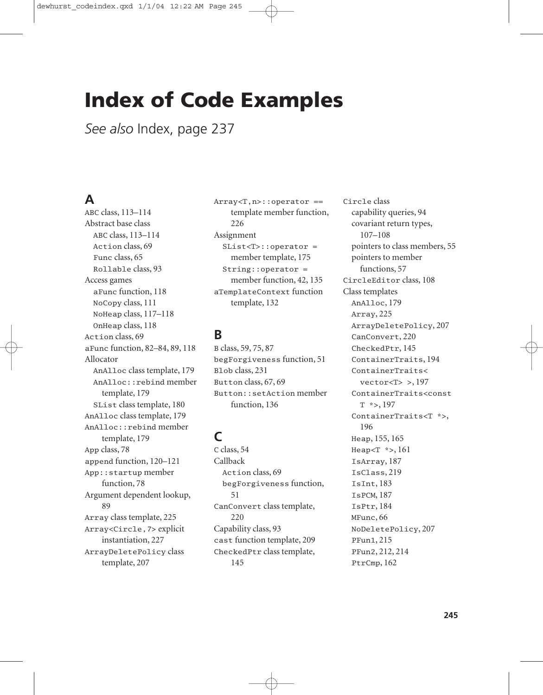# **Index of Code Examples**

*See also* Index, page 237

### **A**

ABC class, 113–114 Abstract base class ABC class, 113–114 Action class, 69 Func class, 65 Rollable class, 93 Access games aFunc function, 118 NoCopy class, 111 NoHeap class, 117–118 OnHeap class, 118 Action class, 69 aFunc function, 82–84, 89, 118 Allocator AnAlloc class template, 179 AnAlloc::rebind member template, 179 SList class template, 180 AnAlloc class template, 179 AnAlloc::rebind member template, 179 App class, 78 append function, 120–121 App::startup member function, 78 Argument dependent lookup, 89 Array class template, 225 Array<Circle,7> explicit instantiation, 227 ArrayDeletePolicy class template, 207

Array<T,n>::operator == template member function, 226 Assignment SList<T>::operator = member template, 175 String::operator = member function, 42, 135 aTemplateContext function template, 132

### **B**

B class, 59, 75, 87 begForgiveness function, 51 Blob class, 231 Button class, 67, 69 Button::setAction member function, 136

# **C**

C class, 54 Callback Action class, 69 begForgiveness function, 51 CanConvert class template, 220 Capability class, 93 cast function template, 209 CheckedPtr class template, 145

Circle class capability queries, 94 covariant return types, 107–108 pointers to class members, 55 pointers to member functions, 57 CircleEditor class, 108 Class templates AnAlloc, 179 Array, 225 ArrayDeletePolicy, 207 CanConvert, 220 CheckedPtr, 145 ContainerTraits, 194 ContainerTraits<  $vector < T>$  >, 197 ContainerTraits<const T \*>, 197 ContainerTraits<T \*>, 196 Heap, 155, 165 Heap<T \*>, 161 IsArray, 187 IsClass, 219 IsInt, 183 IsPCM, 187 IsPtr, 184 MFunc, 66 NoDeletePolicy, 207 PFun1, 215 PFun2, 212, 214 PtrCmp, 162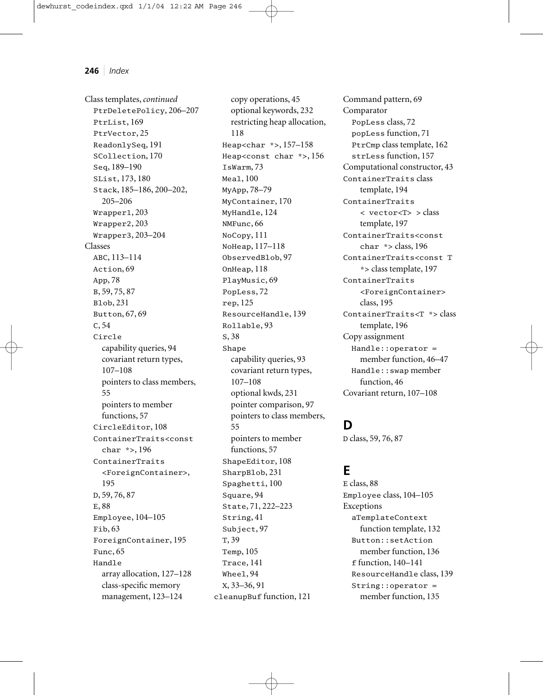Class templates,*continued* PtrDeletePolicy, 206–207 PtrList, 169 PtrVector, 25 ReadonlySeq, 191 SCollection, 170 Seq, 189–190 SList, 173, 180 Stack, 185–186, 200–202, 205–206 Wrapper1, 203 Wrapper2, 203 Wrapper3, 203–204 Classes ABC, 113–114 Action, 69 App, 78 B, 59, 75, 87 Blob, 231 Button, 67, 69 C, 54 Circle capability queries, 94 covariant return types, 107–108 pointers to class members, 55 pointers to member functions, 57 CircleEditor, 108 ContainerTraits<const char \*>, 196 ContainerTraits <ForeignContainer>, 195 D, 59, 76, 87 E, 88 Employee, 104–105 Fib, 63 ForeignContainer, 195 Func, 65 Handle array allocation, 127–128 class-specific memory management, 123–124

copy operations, 45 optional keywords, 232 restricting heap allocation, 118 Heap<char \*>, 157–158 Heap<const char \*>, 156 IsWarm, 73 Meal, 100 MyApp, 78–79 MyContainer, 170 MyHandle, 124 NMFunc, 66 NoCopy, 111 NoHeap, 117–118 ObservedBlob, 97 OnHeap, 118 PlayMusic, 69 PopLess, 72 rep, 125 ResourceHandle, 139 Rollable, 93 S, 38 Shape capability queries, 93 covariant return types, 107–108 optional kwds, 231 pointer comparison, 97 pointers to class members, 55 pointers to member functions, 57 ShapeEditor, 108 SharpBlob, 231 Spaghetti, 100 Square, 94 State, 71, 222–223 String, 41 Subject, 97 T, 39 Temp, 105 Trace, 141 Wheel, 94 X, 33–36, 91 cleanupBuf function, 121

Command pattern, 69 Comparator PopLess class, 72 popLess function, 71 PtrCmp class template, 162 strLess function, 157 Computational constructor, 43 ContainerTraits class template, 194 ContainerTraits < vector<T> > class template, 197 ContainerTraits<const char \*> class, 196 ContainerTraits<const T \*> class template, 197 ContainerTraits <ForeignContainer> class, 195 ContainerTraits<T \*> class template, 196 Copy assignment Handle::operator = member function, 46–47 Handle::swap member function, 46 Covariant return, 107–108

### **D**

D class, 59, 76, 87

### **E**

E class, 88 Employee class, 104–105 Exceptions aTemplateContext function template, 132 Button::setAction member function, 136 f function, 140–141 ResourceHandle class, 139 String::operator = member function, 135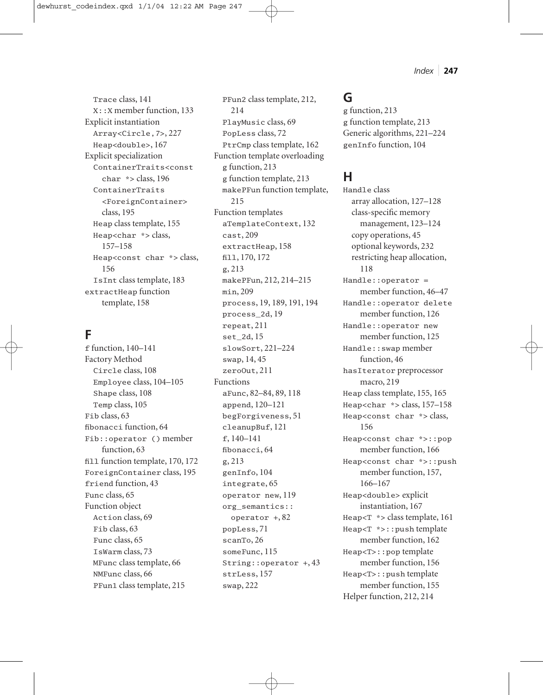Trace class, 141 X::X member function, 133 Explicit instantiation Array<Circle,7>, 227 Heap<double>, 167 Explicit specialization ContainerTraits<const char \*> class, 196 ContainerTraits <ForeignContainer> class, 195 Heap class template, 155 Heap<char \*> class, 157–158 Heap<const char \*> class, 156 IsInt class template, 183 extractHeap function template, 158

### **F**

f function, 140–141 Factory Method Circle class, 108 Employee class, 104–105 Shape class, 108 Temp class, 105 Fib class, 63 fibonacci function, 64 Fib::operator () member function, 63 fill function template, 170, 172 ForeignContainer class, 195 friend function, 43 Func class, 65 Function object Action class, 69 Fib class, 63 Func class, 65 IsWarm class, 73 MFunc class template, 66 NMFunc class, 66 PFun1 class template, 215

PFun2 class template, 212, 214 PlayMusic class, 69 PopLess class, 72 PtrCmp class template, 162 Function template overloading g function, 213 g function template, 213 makePFun function template, 215 Function templates aTemplateContext, 132 cast, 209 extractHeap, 158 fill, 170, 172 g, 213 makePFun, 212, 214–215 min, 209 process, 19, 189, 191, 194 process\_2d, 19 repeat, 211 set\_2d, 15 slowSort, 221–224 swap, 14, 45 zeroOut, 211 Functions aFunc, 82–84, 89, 118 append, 120–121 begForgiveness, 51 cleanupBuf, 121 f, 140–141 fibonacci, 64 g, 213 genInfo, 104 integrate, 65 operator new, 119 org\_semantics:: operator +, 82 popLess, 71 scanTo, 26 someFunc, 115 String::operator +, 43 strLess, 157 swap, 222

### **G**

g function, 213 g function template, 213 Generic algorithms, 221–224 genInfo function, 104

### **H**

Handle class array allocation, 127–128 class-specific memory management, 123–124 copy operations, 45 optional keywords, 232 restricting heap allocation, 118 Handle::operator = member function, 46–47 Handle::operator delete member function, 126 Handle::operator new member function, 125 Handle::swap member function, 46 hasIterator preprocessor macro, 219 Heap class template, 155, 165 Heap<char  $*$  > class, 157-158 Heap<const char \*> class, 156 Heap<const char \*>::pop member function, 166 Heap<const char \*>::push member function, 157, 166–167 Heap<double> explicit instantiation, 167 Heap $\langle T \rangle$  \*> class template, 161 Heap<T \*>::push template member function, 162 Heap<T>::pop template member function, 156 Heap<T>::push template member function, 155 Helper function, 212, 214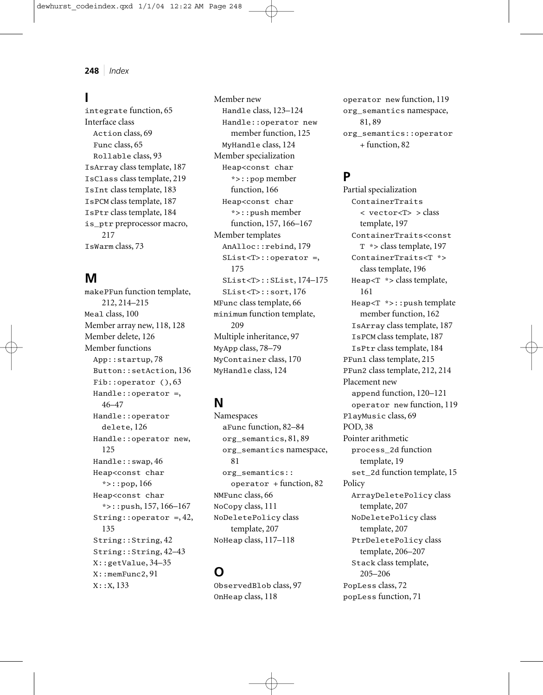### **I**

integrate function, 65 Interface class Action class, 69 Func class, 65 Rollable class, 93 IsArray class template, 187 IsClass class template, 219 IsInt class template, 183 IsPCM class template, 187 IsPtr class template, 184 is\_ptr preprocessor macro, 217 IsWarm class, 73

### **M**

makePFun function template, 212, 214–215 Meal class, 100 Member array new, 118, 128 Member delete, 126 Member functions App::startup, 78 Button::setAction, 136 Fib::operator (), 63 Handle::operator =, 46–47 Handle::operator delete, 126 Handle::operator new, 125 Handle::swap, 46 Heap<const char \*>::pop, 166 Heap<const char \*>::push, 157, 166–167 String::operator =,  $42$ , 135 String::String, 42 String::String, 42–43 X::getValue, 34–35 X::memFunc2, 91 X::X, 133

Member new Handle class, 123–124 Handle::operator new member function, 125 MyHandle class, 124 Member specialization Heap<const char \*>::pop member function, 166 Heap<const char \*>::push member function, 157, 166–167 Member templates AnAlloc::rebind, 179 SList<T>::operator =, 175 SList<T>::SList, 174–175 SList<T>::sort, 176 MFunc class template, 66 minimum function template, 209 Multiple inheritance, 97 MyApp class, 78–79 MyContainer class, 170 MyHandle class, 124

### **N**

Namespaces aFunc function, 82–84 org\_semantics, 81, 89 org\_semantics namespace, 81 org\_semantics:: operator + function, 82 NMFunc class, 66 NoCopy class, 111 NoDeletePolicy class template, 207 NoHeap class, 117–118

### **O**

ObservedBlob class, 97 OnHeap class, 118

operator new function, 119 org\_semantics namespace, 81, 89 org\_semantics::operator + function, 82

### **P**

Partial specialization ContainerTraits < vector<T> > class template, 197 ContainerTraits<const T \*> class template, 197 ContainerTraits<T \*> class template, 196 Heap<T \*> class template, 161 Heap<T \*>::push template member function, 162 IsArray class template, 187 IsPCM class template, 187 IsPtr class template, 184 PFun1 class template, 215 PFun2 class template, 212, 214 Placement new append function, 120–121 operator new function, 119 PlayMusic class, 69 POD, 38 Pointer arithmetic process\_2d function template, 19 set\_2d function template, 15 Policy ArrayDeletePolicy class template, 207 NoDeletePolicy class template, 207 PtrDeletePolicy class template, 206–207 Stack class template, 205–206 PopLess class, 72 popLess function, 71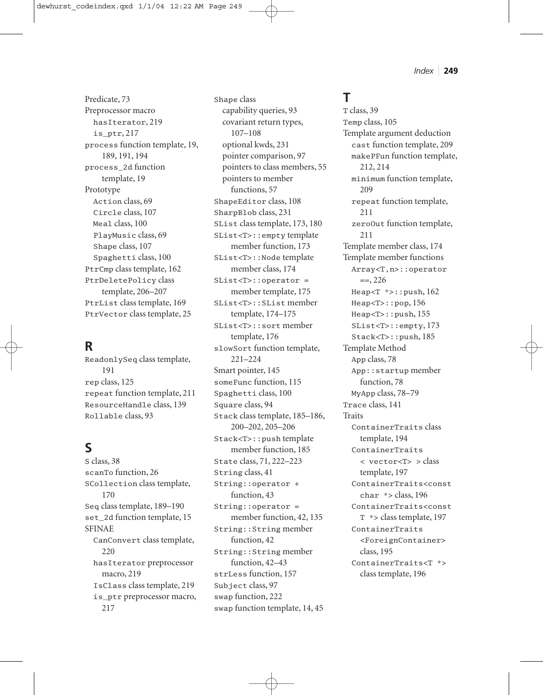*Index* ❘ **249**

Predicate, 73 Preprocessor macro hasIterator, 219 is\_ptr, 217 process function template, 19, 189, 191, 194 process\_2d function template, 19 Prototype Action class, 69 Circle class, 107 Meal class, 100 PlayMusic class, 69 Shape class, 107 Spaghetti class, 100 PtrCmp class template, 162 PtrDeletePolicy class template, 206–207 PtrList class template, 169 PtrVector class template, 25

### **R**

ReadonlySeq class template, 191 rep class, 125 repeat function template, 211 ResourceHandle class, 139 Rollable class, 93

# **S**

S class, 38 scanTo function, 26 SCollection class template, 170 Seq class template, 189–190 set\_2d function template, 15 SFINAE CanConvert class template, 220 hasIterator preprocessor macro, 219 IsClass class template, 219 is\_ptr preprocessor macro, 217

Shape class capability queries, 93 covariant return types, 107–108 optional kwds, 231 pointer comparison, 97 pointers to class members, 55 pointers to member functions, 57 ShapeEditor class, 108 SharpBlob class, 231 SList class template, 173, 180 SList<T>::empty template member function, 173 SList<T>::Node template member class, 174 SList<T>::operator = member template, 175 SList<T>::SList member template, 174–175 SList<T>::sort member template, 176 slowSort function template, 221–224 Smart pointer, 145 someFunc function, 115 Spaghetti class, 100 Square class, 94 Stack class template, 185–186, 200–202, 205–206 Stack<T>::push template member function, 185 State class, 71, 222–223 String class, 41 String::operator + function, 43 String::operator = member function, 42, 135 String::String member function, 42 String::String member function, 42–43 strLess function, 157 Subject class, 97 swap function, 222

swap function template, 14, 45

# **T**

T class, 39 Temp class, 105 Template argument deduction cast function template, 209 makePFun function template, 212, 214 minimum function template, 209 repeat function template, 211 zeroOut function template, 211 Template member class, 174 Template member functions Array<T,n>::operator  $=$ , 226 Heap<T \*>::push, 162 Heap<T>::pop, 156 Heap<T>::push, 155 SList<T>::empty, 173 Stack<T>::push, 185 Template Method App class, 78 App::startup member function, 78 MyApp class, 78–79 Trace class, 141 Traits ContainerTraits class template, 194 ContainerTraits < vector<T> > class template, 197 ContainerTraits<const char \*> class, 196 ContainerTraits<const T \*> class template, 197 ContainerTraits <ForeignContainer> class, 195 ContainerTraits<T \*> class template, 196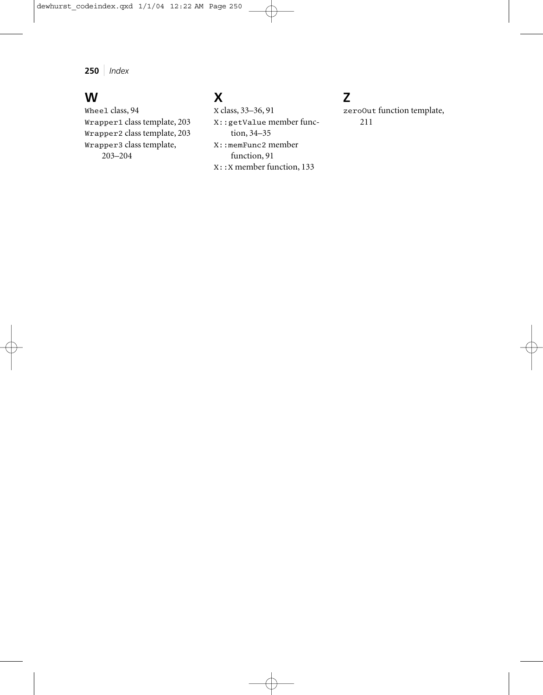### **W**

Wheel class, 94 Wrapper1 class template, 203 Wrapper2 class template, 203 Wrapper3 class template, 203–204

# **X**

X class, 33–36, 91 X::getValue member function, 34–35 X::memFunc2 member function, 91 X::X member function, 133

# **Z**

zeroOut function template, 211